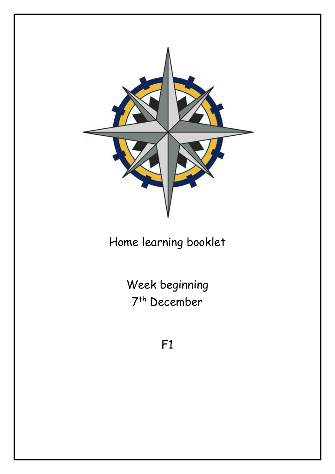

Home learning booklet

Week beginning 7 th December

F1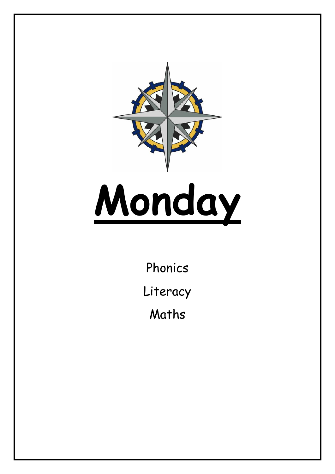

Phonics Literacy Maths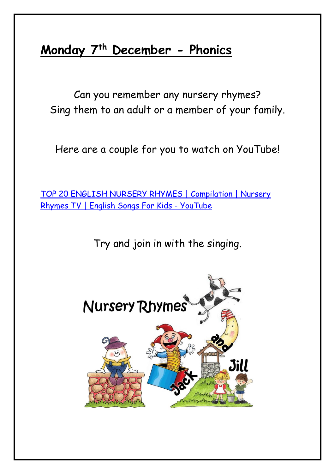### **Monday 7th December - Phonics**

Can you remember any nursery rhymes? Sing them to an adult or a member of your family.

Here are a couple for you to watch on YouTube!

[TOP 20 ENGLISH NURSERY RHYMES | Compilation | Nursery](https://www.youtube.com/watch?v=lzc_Rd4TuYg)  [Rhymes TV | English Songs For Kids -](https://www.youtube.com/watch?v=lzc_Rd4TuYg) YouTube

Try and join in with the singing.

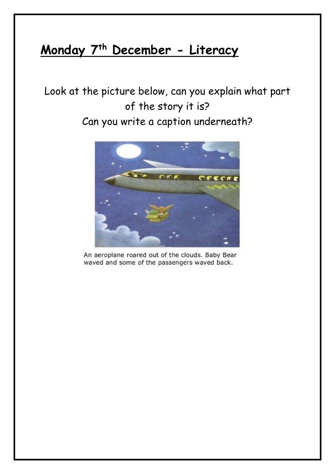### **Monday 7 th December - Literacy**

### Look at the picture below, can you explain what part of the story it is?

#### Can you write a caption underneath?



An aeroplane roared out of the clouds. Baby Bear waved and some of the passengers waved back.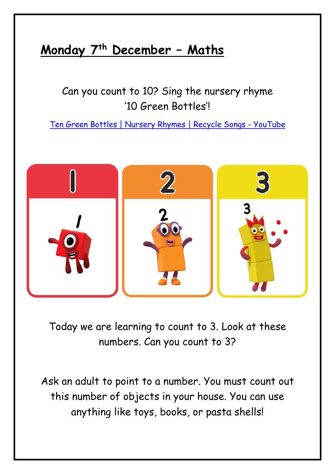### **Monday 7 th December – Maths**

Can you count to 10? Sing the nursery rhyme '10 Green Bottles'!

[Ten Green Bottles | Nursery Rhymes | Recycle Songs -](https://www.youtube.com/watch?v=T0ooQv7oHvw) YouTube



Today we are learning to count to 3. Look at these numbers. Can you count to 3?

Ask an adult to point to a number. You must count out this number of objects in your house. You can use anything like toys, books, or pasta shells!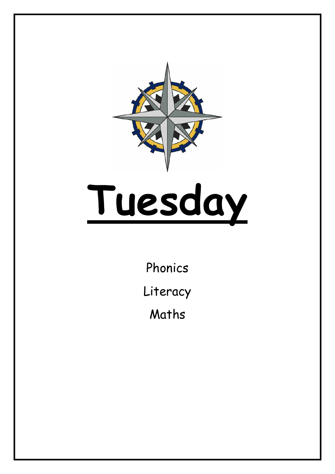

Phonics Literacy Maths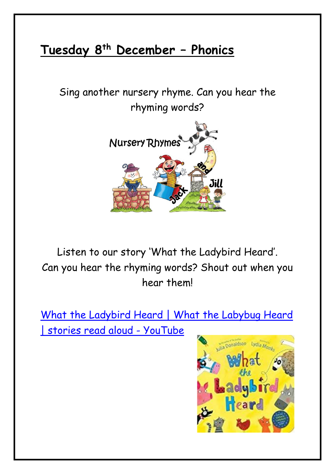### **Tuesday 8th December – Phonics**

Sing another nursery rhyme. Can you hear the rhyming words?



Listen to our story 'What the Ladybird Heard'. Can you hear the rhyming words? Shout out when you hear them!

[What the Ladybird Heard | What the Labybug Heard](https://www.youtube.com/watch?v=Eu9mPX7DuLA)  [| stories read aloud -](https://www.youtube.com/watch?v=Eu9mPX7DuLA) YouTube

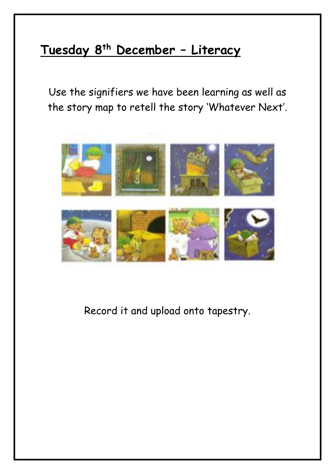### **Tuesday 8th December – Literacy**

Use the signifiers we have been learning as well as the story map to retell the story 'Whatever Next'.



Record it and upload onto tapestry.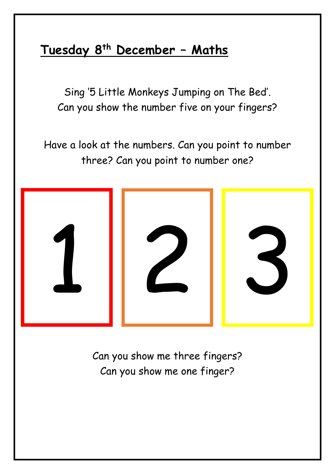### **Tuesday 8th December – Maths**

Sing '5 Little Monkeys Jumping on The Bed'. Can you show the number five on your fingers?

Have a look at the numbers. Can you point to number three? Can you point to number one?



Can you show me three fingers? Can you show me one finger?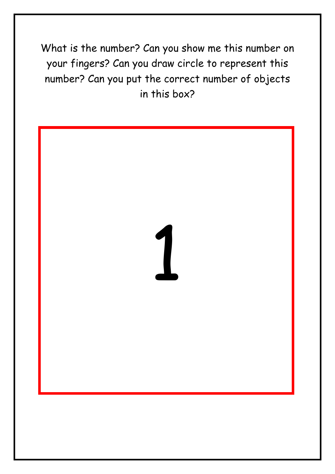What is the number? Can you show me this number on your fingers? Can you draw circle to represent this number? Can you put the correct number of objects in this box?

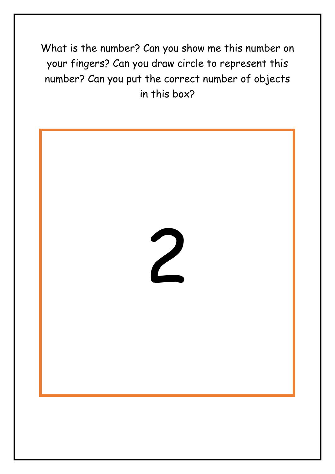What is the number? Can you show me this number on your fingers? Can you draw circle to represent this number? Can you put the correct number of objects in this box?

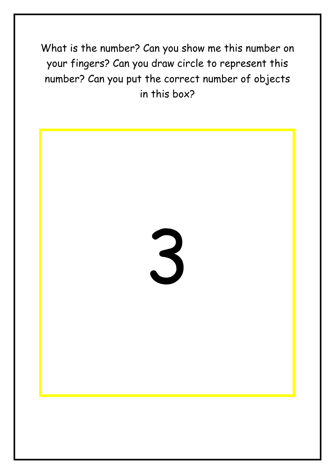What is the number? Can you show me this number on your fingers? Can you draw circle to represent this number? Can you put the correct number of objects in this box?

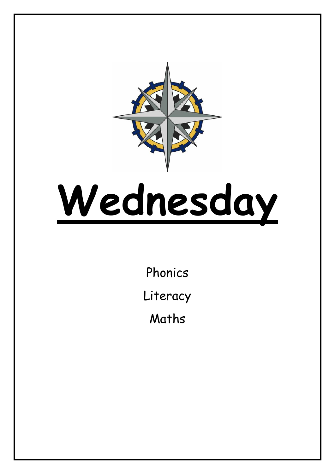

## **Wednesday**

Phonics Literacy Maths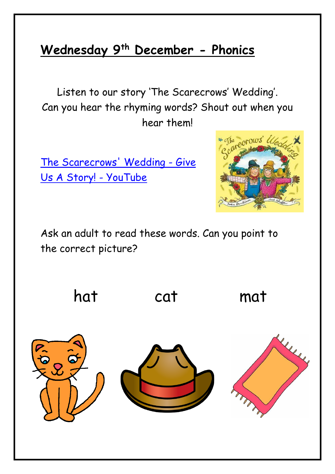### **Wednesday 9th December - Phonics**

Listen to our story 'The Scarecrows' Wedding'. Can you hear the rhyming words? Shout out when you hear them!

[The Scarecrows' Wedding -](https://www.youtube.com/watch?v=UIHLnnJ-uFc) Give [Us A Story! -](https://www.youtube.com/watch?v=UIHLnnJ-uFc) YouTube



Ask an adult to read these words. Can you point to the correct picture?

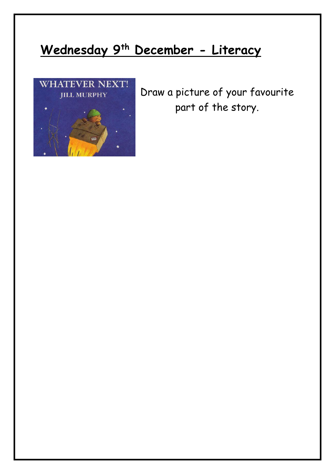### **Wednesday 9th December - Literacy**



Draw a picture of your favourite part of the story.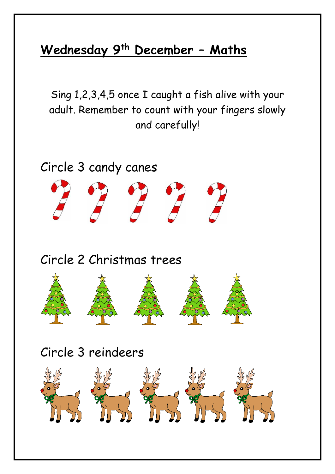### **Wednesday 9th December – Maths**

Sing 1,2,3,4,5 once I caught a fish alive with your adult. Remember to count with your fingers slowly and carefully!

Circle 3 candy canes Circle 2 Christmas trees Circle 3 reindeers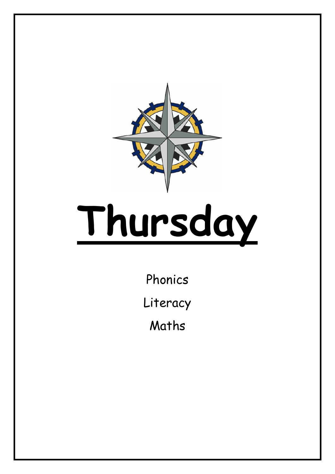

### **Thursday**

Phonics

Literacy

Maths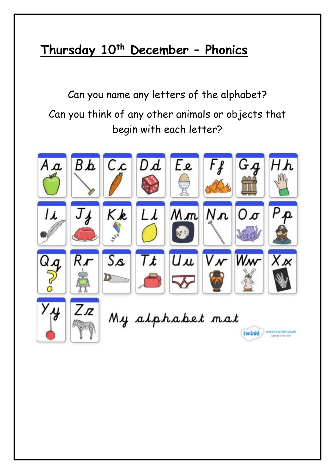### **Thursday 10th December – Phonics**

Can you name any letters of the alphabet? Can you think of any other animals or objects that begin with each letter?

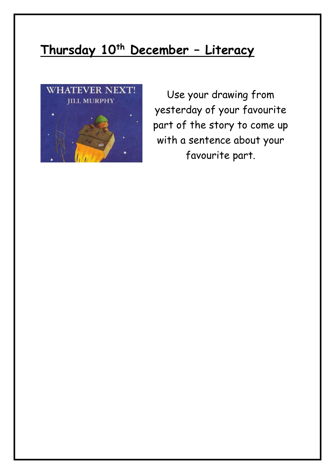### **Thursday 10th December – Literacy**



Use your drawing from yesterday of your favourite part of the story to come up with a sentence about your favourite part.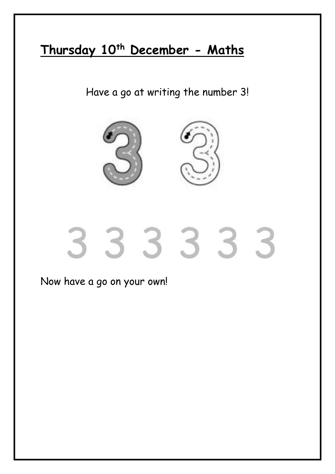### **Thursday 10th December - Maths**

Have a go at writing the number 3!



### Now have a go on your own!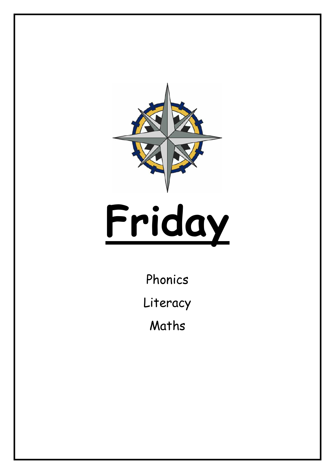

# **Friday**

Phonics

Literacy

Maths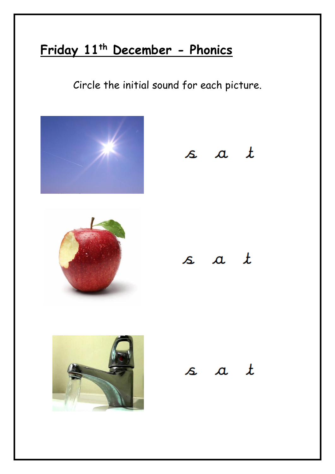### **Friday 11th December - Phonics**

Circle the initial sound for each picture.









### $s$  a  $t$

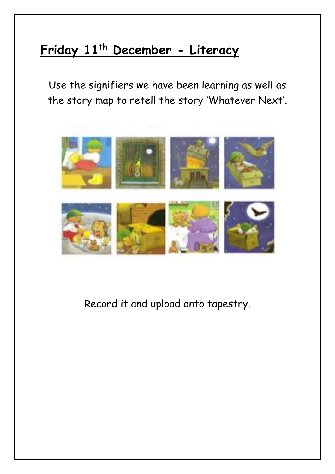### **Friday 11th December - Literacy**

Use the signifiers we have been learning as well as the story map to retell the story 'Whatever Next'.



Record it and upload onto tapestry.